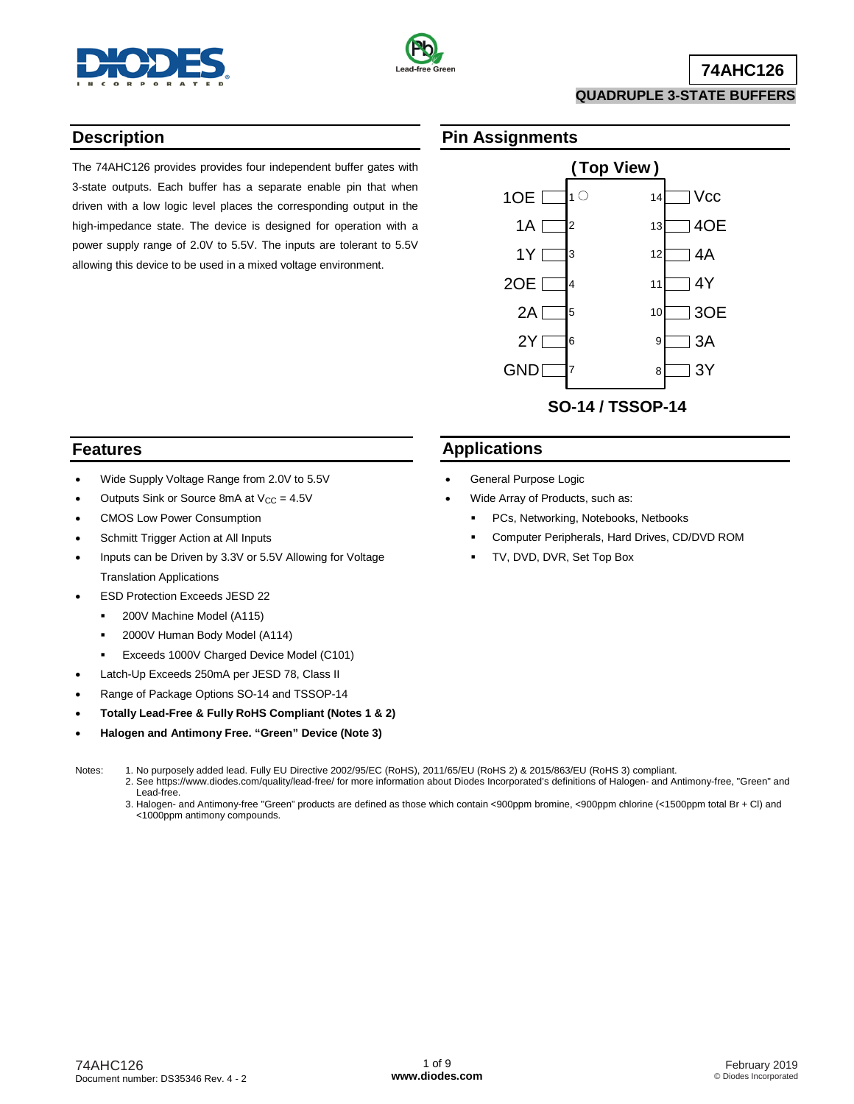



# **74AHC126**

#### **QUADRUPLE 3-STATE BUFFERS**

### **Description**

The 74AHC126 provides provides four independent buffer gates with 3-state outputs. Each buffer has a separate enable pin that when driven with a low logic level places the corresponding output in the high-impedance state. The device is designed for operation with a power supply range of 2.0V to 5.5V. The inputs are tolerant to 5.5V allowing this device to be used in a mixed voltage environment.

### **Pin Assignments**



### **Features**

- Wide Supply Voltage Range from 2.0V to 5.5V
- Outputs Sink or Source 8mA at  $V_{CC} = 4.5V$
- CMOS Low Power Consumption
- Schmitt Trigger Action at All Inputs
- Inputs can be Driven by 3.3V or 5.5V Allowing for Voltage Translation Applications
- ESD Protection Exceeds JESD 22
- **200V Machine Model (A115)** 
	- **2000V Human Body Model (A114)**
	- **Exceeds 1000V Charged Device Model (C101)**
- Latch-Up Exceeds 250mA per JESD 78, Class II
- Range of Package Options SO-14 and TSSOP-14
- **Totally Lead-Free & Fully RoHS Compliant (Notes 1 & 2)**
- **Halogen and Antimony Free. "Green" Device (Note 3)**

- Notes: 1. No purposely added lead. Fully EU Directive 2002/95/EC (RoHS), 2011/65/EU (RoHS 2) & 2015/863/EU (RoHS 3) compliant.
	- 2. See [https://www.diodes.com/quality/lead-free/ fo](https://www.diodes.com/quality/lead-free/)r more information about Diodes Incorporated's definitions of Halogen- and Antimony-free, "Green" and Lead-free.
	- 3. Halogen- and Antimony-free "Green" products are defined as those which contain <900ppm bromine, <900ppm chlorine (<1500ppm total Br + Cl) and <1000ppm antimony compounds.

### **Applications**

- General Purpose Logic
- Wide Array of Products, such as:
	- PCs, Networking, Notebooks, Netbooks
	- Computer Peripherals, Hard Drives, CD/DVD ROM
	- TV, DVD, DVR, Set Top Box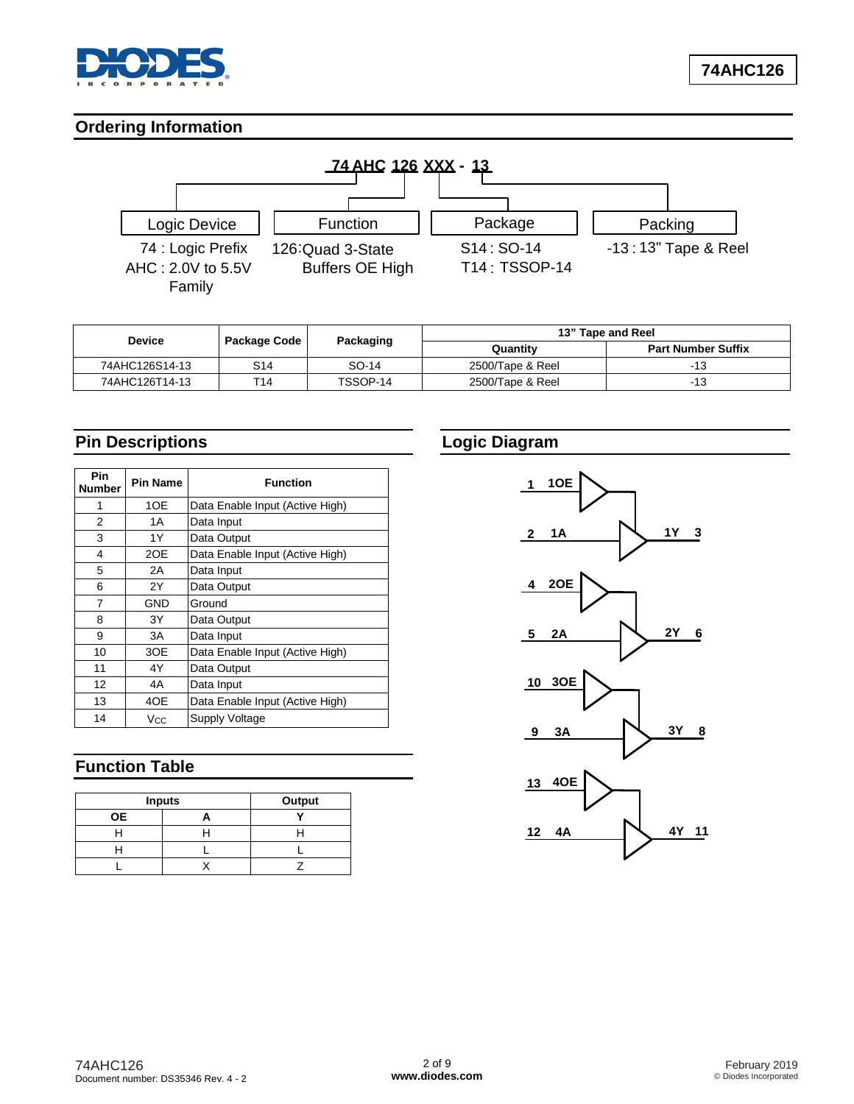

### **Ordering Information**



| <b>Device</b>  | Package Code | Packaging |                  | 13" Tape and Reel         |
|----------------|--------------|-----------|------------------|---------------------------|
|                |              |           | Quantity         | <b>Part Number Suffix</b> |
| 74AHC126S14-13 | S14          | SO-14     | 2500/Tape & Reel | -13                       |
| 74AHC126T14-13 | T14          | TSSOP-14  | 2500/Tape & Reel | -13                       |

# **Pin Descriptions**

| <b>Pin</b><br><b>Number</b> | <b>Pin Name</b> | <b>Function</b>                 |
|-----------------------------|-----------------|---------------------------------|
| 1                           | 1OE             | Data Enable Input (Active High) |
| 2                           | 1 A             | Data Input                      |
| 3                           | 1Y              | Data Output                     |
| 4                           | 2OE             | Data Enable Input (Active High) |
| 5                           | 2A              | Data Input                      |
| 6                           | 2Y              | Data Output                     |
| 7                           | GND             | Ground                          |
| 8                           | 3Υ              | Data Output                     |
| 9                           | 3A              | Data Input                      |
| 10                          | 3OE             | Data Enable Input (Active High) |
| 11                          | 4Y              | Data Output                     |
| 12                          | 4A              | Data Input                      |
| 13                          | 4OE             | Data Enable Input (Active High) |
| 14                          | Vcc             | Supply Voltage                  |

# **Function Table**

| <b>Inputs</b> | Output |  |
|---------------|--------|--|
| <b>OE</b>     |        |  |
|               |        |  |
|               |        |  |
|               |        |  |

# **Logic Diagram**

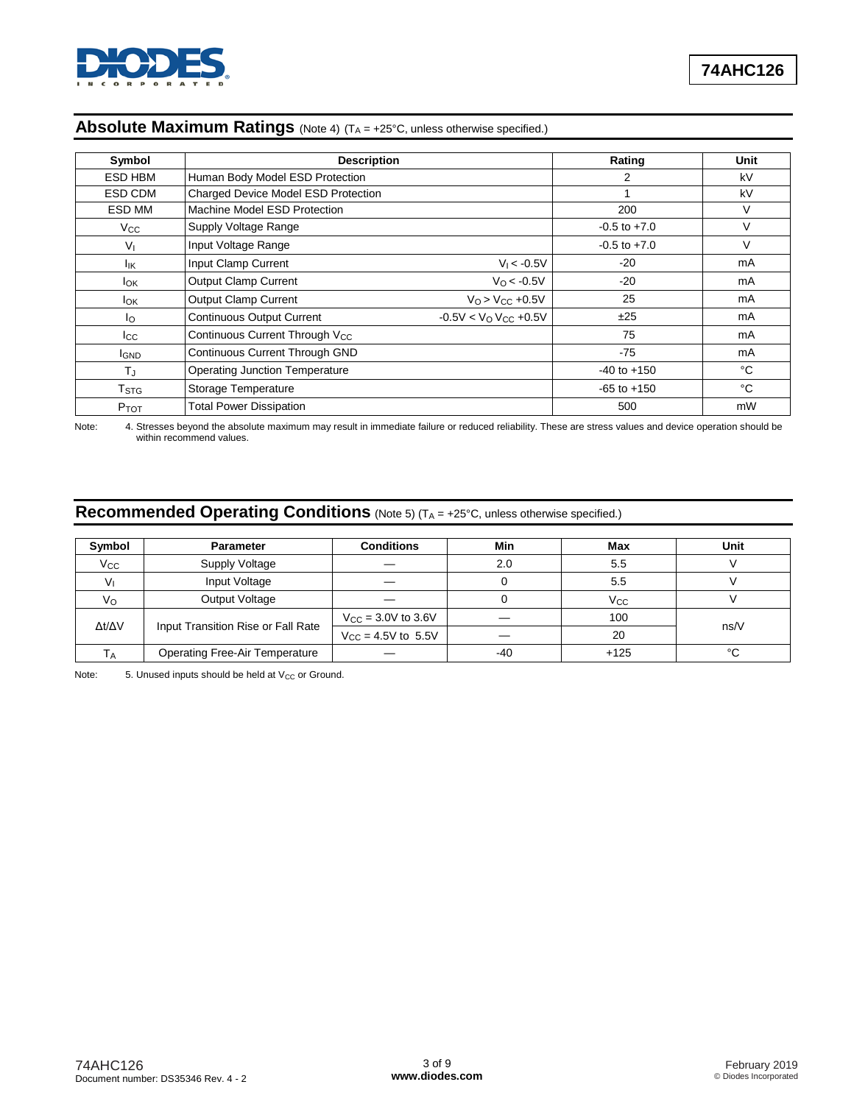

| Symbol                  | <b>Description</b>                         |                                      | Rating           | Unit |
|-------------------------|--------------------------------------------|--------------------------------------|------------------|------|
| ESD HBM                 | Human Body Model ESD Protection            |                                      | 2                | kV   |
| ESD CDM                 | Charged Device Model ESD Protection        |                                      |                  | kV   |
| ESD MM                  | Machine Model ESD Protection               |                                      | 200              | V    |
| $V_{\rm CC}$            | Supply Voltage Range                       |                                      | $-0.5$ to $+7.0$ | V    |
| V <sub>1</sub>          | Input Voltage Range                        |                                      | $-0.5$ to $+7.0$ | V    |
| lικ                     | Input Clamp Current                        | $V_1 < -0.5V$                        | $-20$            | mA   |
| <b>I</b> ok             | <b>Output Clamp Current</b>                | $V_0$ < -0.5V                        | $-20$            | mA   |
| <b>I</b> ok             | <b>Output Clamp Current</b>                | $V_{O}$ > $V_{CC}$ +0.5V             | 25               | mA   |
| Ιo                      | <b>Continuous Output Current</b>           | $-0.5V < VO$ V <sub>CC</sub> $+0.5V$ | ±25              | mA   |
| $_{\rm lcc}$            | Continuous Current Through V <sub>CC</sub> |                                      | 75               | mA   |
| <b>I</b> GND            | <b>Continuous Current Through GND</b>      |                                      | $-75$            | mA   |
| TJ                      | <b>Operating Junction Temperature</b>      |                                      | $-40$ to $+150$  | °C   |
| <b>T</b> <sub>STG</sub> | <b>Storage Temperature</b>                 |                                      | $-65$ to $+150$  | °C   |
| PTOT                    | <b>Total Power Dissipation</b>             |                                      | 500              | mW   |

# **Absolute Maximum Ratings** (Note 4) (T<sub>A</sub> = +25°C, unless otherwise specified.)

Note: 4. Stresses beyond the absolute maximum may result in immediate failure or reduced reliability. These are stress values and device operation should be within recommend values.

# **Recommended Operating Conditions** (Note 5) (T<sub>A</sub> = +25°C, unless otherwise specified.)

| Symbol       | <b>Parameter</b>                      | <b>Conditions</b>              | Min   | Max          | Unit |
|--------------|---------------------------------------|--------------------------------|-------|--------------|------|
| $V_{\rm CC}$ | Supply Voltage                        |                                | 2.0   | 5.5          |      |
|              | Input Voltage                         |                                |       | 5.5          |      |
| $V_{\rm O}$  | Output Voltage                        |                                |       | $V_{\rm CC}$ |      |
| Δt/ΔV        | Input Transition Rise or Fall Rate    | $V_{\text{CC}} = 3.0V$ to 3.6V |       | 100          | ns/V |
|              |                                       | $V_{\text{CC}} = 4.5V$ to 5.5V |       | 20           |      |
| Tд           | <b>Operating Free-Air Temperature</b> |                                | $-40$ | $+125$       | °C   |

Note:  $5.$  Unused inputs should be held at  $V_{CC}$  or Ground.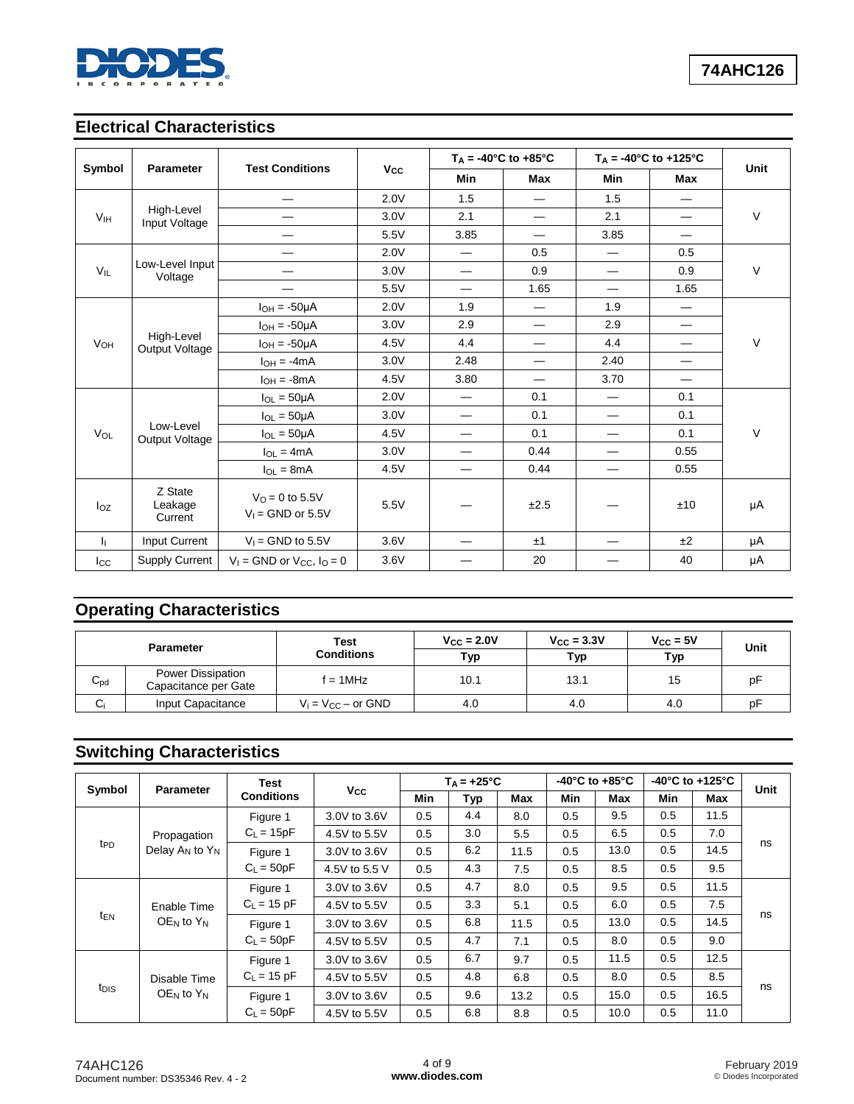

# **Electrical Characteristics**

|                 |                               |                                         |                       |                          | $T_A = -40^{\circ}C$ to $+85^{\circ}C$ |                                | $T_A = -40^{\circ}C$ to $+125^{\circ}C$ |             |
|-----------------|-------------------------------|-----------------------------------------|-----------------------|--------------------------|----------------------------------------|--------------------------------|-----------------------------------------|-------------|
| Symbol          | Parameter                     | <b>Test Conditions</b>                  | <b>V<sub>cc</sub></b> | Min                      | Max                                    | Min                            | Max                                     | <b>Unit</b> |
|                 |                               |                                         | 2.0V                  | 1.5                      | —                                      | 1.5                            | $\overline{\phantom{0}}$                |             |
| V <sub>IH</sub> | High-Level<br>Input Voltage   |                                         | 3.0V                  | 2.1                      | —                                      | 2.1                            | $\overline{\phantom{0}}$                | $\vee$      |
|                 |                               |                                         | 5.5V                  | 3.85                     | $\overline{\phantom{0}}$               | 3.85                           | $\overline{\phantom{0}}$                |             |
|                 |                               | —                                       | 2.0V                  | —                        | 0.5                                    | —                              | 0.5                                     |             |
| $V_{IL}$        | Low-Level Input<br>Voltage    | $\overline{\phantom{0}}$                | 3.0V                  |                          | 0.9                                    |                                | 0.9                                     | $\vee$      |
|                 |                               | —                                       | 5.5V                  | —                        | 1.65                                   | $\equiv$                       | 1.65                                    |             |
|                 |                               | $I_{OH} = -50\mu A$                     | 2.0V                  | 1.9                      | $\overline{\phantom{0}}$               | 1.9                            | $\overline{\phantom{0}}$                |             |
|                 |                               | $I_{OH} = -50\mu A$                     | 3.0V                  | 2.9                      | —                                      | 2.9                            | —                                       | V           |
| VOH             | High-Level<br>Output Voltage  | $I_{OH} = -50\mu A$                     | 4.5V                  | 4.4                      | —                                      | 4.4                            | $\overline{\phantom{0}}$                |             |
|                 |                               | $I_{OH} = -4mA$                         | 3.0V                  | 2.48                     | —                                      | 2.40                           |                                         |             |
|                 |                               | $I_{OH} = -8mA$                         | 4.5V                  | 3.80                     | $\overline{\phantom{0}}$               | 3.70                           | $\overline{\phantom{0}}$                |             |
|                 |                               | $I_{OL} = 50 \mu A$                     | 2.0V                  | $\hspace{0.05cm}$        | 0.1                                    | $\qquad \qquad \longleftarrow$ | 0.1                                     |             |
|                 |                               | $I_{OL} = 50 \mu A$                     | 3.0V                  |                          | 0.1                                    |                                | 0.1                                     |             |
| VOL             | Low-Level<br>Output Voltage   | $I_{OL} = 50 \mu A$                     | 4.5V                  | —                        | 0.1                                    |                                | 0.1                                     | V           |
|                 |                               | $I_{OL} = 4mA$                          | 3.0V                  | $\overline{\phantom{0}}$ | 0.44                                   | $\overline{\phantom{0}}$       | 0.55                                    |             |
|                 |                               | $I_{OL} = 8mA$                          | 4.5V                  |                          | 0.44                                   | $\overline{\phantom{0}}$       | 0.55                                    |             |
| Ioz             | Z State<br>Leakage<br>Current | $VO = 0$ to 5.5V<br>$V_1 =$ GND or 5.5V | 5.5V                  |                          | ±2.5                                   |                                | ±10                                     | μA          |
| Ь.              | Input Current                 | $V_1$ = GND to 5.5V                     | 3.6V                  |                          | ±1                                     |                                | ±2                                      | μA          |
| $_{\rm lcc}$    | <b>Supply Current</b>         | $V_1$ = GND or $V_{CC}$ , $I_0$ = 0     | 3.6V                  |                          | 20                                     |                                | 40                                      | μA          |

# **Operating Characteristics**

|              | <b>Parameter</b>                          | <b>Test</b><br><b>Conditions</b> | $V_{\text{CC}} = 2.0V$<br>Тур | $V_{\text{CC}} = 3.3V$<br>Typ | $V_{\rm CC}$ = 5V<br>Typ | Unit |
|--------------|-------------------------------------------|----------------------------------|-------------------------------|-------------------------------|--------------------------|------|
| $C_{\rm pd}$ | Power Dissipation<br>Capacitance per Gate | $f = 1$ MHz                      | 10.1                          | 13.1                          | 15                       | рF   |
| $C_i$        | Input Capacitance                         | $V_i = V_{CC} - or GND$          | 4.0                           | 4.0                           | 4.0                      | рF   |

# **Switching Characteristics**

|                                                   | <b>Parameter</b>     |                   | <b>Test</b>   |     | $T_A = +25^{\circ}C$ |      | -40 $^{\circ}$ C to +85 $^{\circ}$ C |      | -40 $^{\circ}$ C to +125 $^{\circ}$ C |      | <b>Unit</b> |
|---------------------------------------------------|----------------------|-------------------|---------------|-----|----------------------|------|--------------------------------------|------|---------------------------------------|------|-------------|
| Symbol                                            |                      | <b>Conditions</b> | $V_{\rm CC}$  | Min | Тур                  | Max  | Min                                  | Max  | Min                                   | Max  |             |
|                                                   |                      | Figure 1          | 3.0V to 3.6V  | 0.5 | 4.4                  | 8.0  | 0.5                                  | 9.5  | 0.5                                   | 11.5 |             |
|                                                   | Propagation          | $C_L = 15pF$      | 4.5V to 5.5V  | 0.5 | 3.0                  | 5.5  | 0.5                                  | 6.5  | 0.5                                   | 7.0  |             |
| t <sub>PD</sub>                                   | Delay $A_N$ to $Y_N$ | Figure 1          | 3.0V to 3.6V  | 0.5 | 6.2                  | 11.5 | 0.5                                  | 13.0 | 0.5                                   | 14.5 | ns          |
|                                                   |                      | $C_L = 50pF$      | 4.5V to 5.5 V | 0.5 | 4.3                  | 7.5  | 0.5                                  | 8.5  | 0.5                                   | 9.5  |             |
|                                                   |                      | Figure 1          | 3.0V to 3.6V  | 0.5 | 4.7                  | 8.0  | 0.5                                  | 9.5  | 0.5                                   | 11.5 |             |
|                                                   | Enable Time          | $C_L$ = 15 pF     | 4.5V to 5.5V  | 0.5 | 3.3                  | 5.1  | 0.5                                  | 6.0  | 0.5                                   | 7.5  |             |
| t <sub>EN</sub>                                   | $OEN$ to $YN$        | Figure 1          | 3.0V to 3.6V  | 0.5 | 6.8                  | 11.5 | 0.5                                  | 13.0 | 0.5                                   | 14.5 | ns          |
|                                                   |                      | $C_L = 50pF$      | 4.5V to 5.5V  | 0.5 | 4.7                  | 7.1  | 0.5                                  | 8.0  | 0.5                                   | 9.0  |             |
|                                                   |                      | Figure 1          | 3.0V to 3.6V  | 0.5 | 6.7                  | 9.7  | 0.5                                  | 11.5 | 0.5                                   | 12.5 |             |
| Disable Time<br>t <sub>DIS</sub><br>$OEN$ to $YN$ | $C_{L}$ = 15 pF      | 4.5V to 5.5V      | 0.5           | 4.8 | 6.8                  | 0.5  | 8.0                                  | 0.5  | 8.5                                   |      |             |
|                                                   | Figure 1             | 3.0V to 3.6V      | 0.5           | 9.6 | 13.2                 | 0.5  | 15.0                                 | 0.5  | 16.5                                  | ns   |             |
|                                                   | $C_1 = 50pF$         | 4.5V to 5.5V      | 0.5           | 6.8 | 8.8                  | 0.5  | 10.0                                 | 0.5  | 11.0                                  |      |             |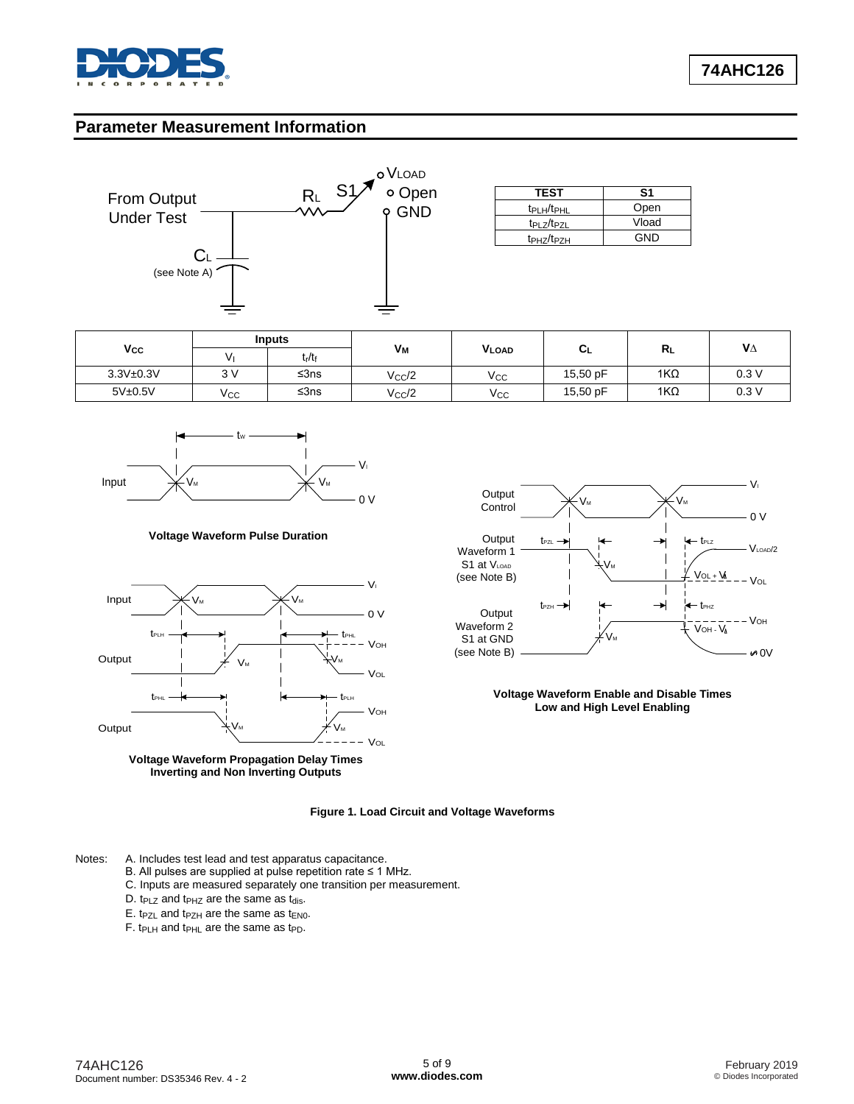

### **Parameter Measurement Information**



| <b>TEST</b>                        | S1    |
|------------------------------------|-------|
| t <sub>PLH</sub> /t <sub>PHL</sub> | Open  |
| t <sub>PLZ/tpzl</sub>              | Vload |
| t <sub>PHZ</sub> /t <sub>PZH</sub> | GND   |

|              |     | <b>Inputs</b>                  |            |              |          |            |      |
|--------------|-----|--------------------------------|------------|--------------|----------|------------|------|
| $V_{\rm CC}$ |     | t <sub>r</sub> /t <sub>f</sub> | Vм         | <b>VLOAD</b> | ◡∟       | RL         | VΔ   |
| 3.3V±0.3V    | 3V  | ≤ $3ns$                        | $V_{CC}/2$ | $V_{\rm CC}$ | 15,50 pF | $1K\Omega$ | 0.3V |
| 5V±0.5V      | Vcc | ≤ $3ns$                        | $V_{CC}/2$ | $V_{\rm CC}$ | 15,50 pF | $1K\Omega$ | 0.3V |



#### **Voltage Waveform Pulse Duration**







**Voltage Waveform Enable and Disable Times Low and High Level Enabling**

#### **Figure 1. Load Circuit and Voltage Waveforms**

Notes: A. Includes test lead and test apparatus capacitance.

- B. All pulses are supplied at pulse repetition rate ≤ 1 MHz.
- C. Inputs are measured separately one transition per measurement.
- D.  $t_{PLZ}$  and  $t_{PHZ}$  are the same as  $t_{dis}$ .
- $E.$  t<sub>PZL</sub> and t<sub>PZH</sub> are the same as t<sub>EN0</sub>.
- F. t $p_{LH}$  and t $p_{HL}$  are the same as t $p_D$ .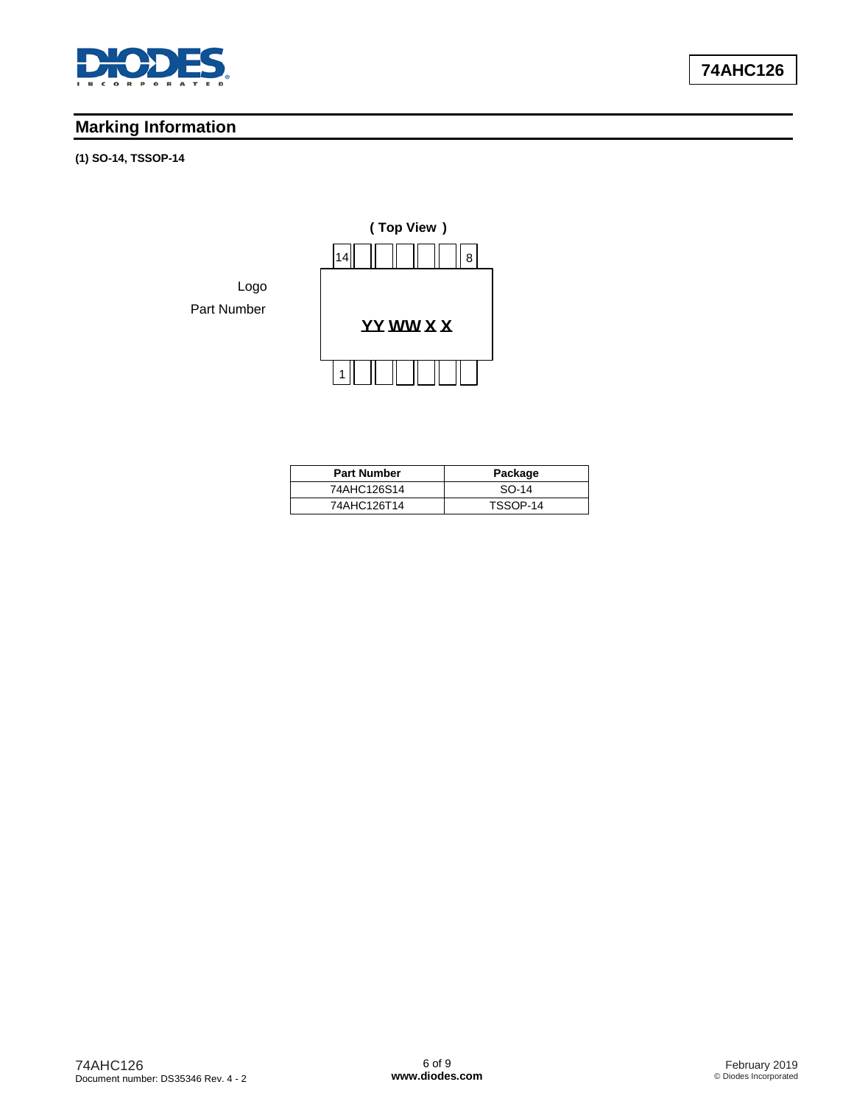

# **Marking Information**

#### **(1) SO-14, TSSOP-14**



| <b>Part Number</b> | Package  |
|--------------------|----------|
| 74AHC126S14        | $SO-14$  |
| 74AHC126T14        | TSSOP-14 |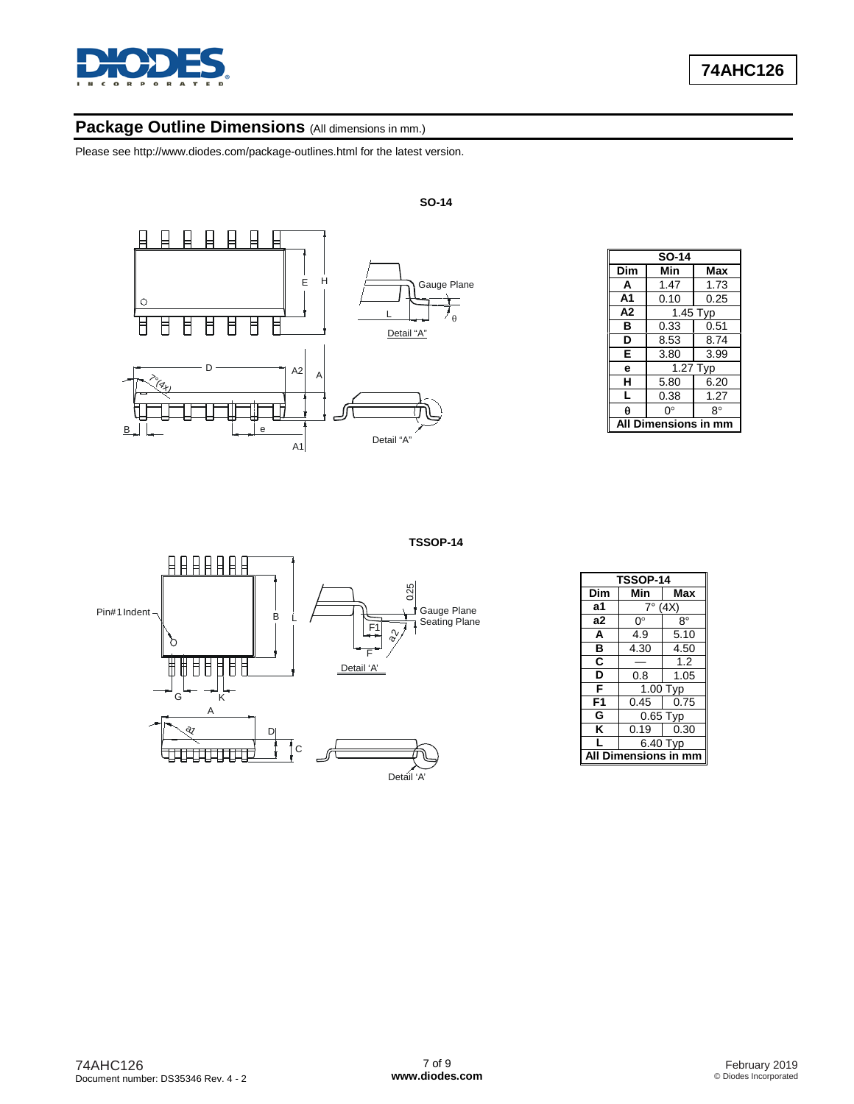

# Package Outline Dimensions (All dimensions in mm.)

Please see [http://www.diodes.com/package-outlines.html fo](http://www.diodes.com/package-outlines.html)r the latest version.



| <b>SO-14</b> |                  |          |  |  |  |  |
|--------------|------------------|----------|--|--|--|--|
| Dim          | Min              | Max      |  |  |  |  |
| A            | 1.47             | 1.73     |  |  |  |  |
| A1           | 0.10             | 0.25     |  |  |  |  |
| A2           |                  | 1.45 Typ |  |  |  |  |
| в            | 0.33             | 0.51     |  |  |  |  |
| D            | 8.53             | 8.74     |  |  |  |  |
| Е            | 3.80             | 3.99     |  |  |  |  |
| е            |                  | 1.27 Typ |  |  |  |  |
| н            | 5.80             | 6.20     |  |  |  |  |
| L            | 0.38             | 1.27     |  |  |  |  |
| Α            | O°               | 8°       |  |  |  |  |
|              | Dimensions in mm |          |  |  |  |  |



| TSSOP-14      |                        |      |
|---------------|------------------------|------|
| Dim           | Min                    | Max  |
| a1            | (4X)<br>7°             |      |
| a2            | ∩°                     | 8°   |
| A             | 4.9                    | 5.10 |
| в             | 4.30                   | 4.50 |
| C             |                        | 1.2  |
| D             | 0.8                    | 1.05 |
| F             | $\overline{1}$ .00 Typ |      |
| F1            | 0.45                   | 0.75 |
| G             | $0.65$ Typ             |      |
| Κ             | 0.19                   | 0.30 |
|               | 6.40 Typ               |      |
| Dimensions in |                        |      |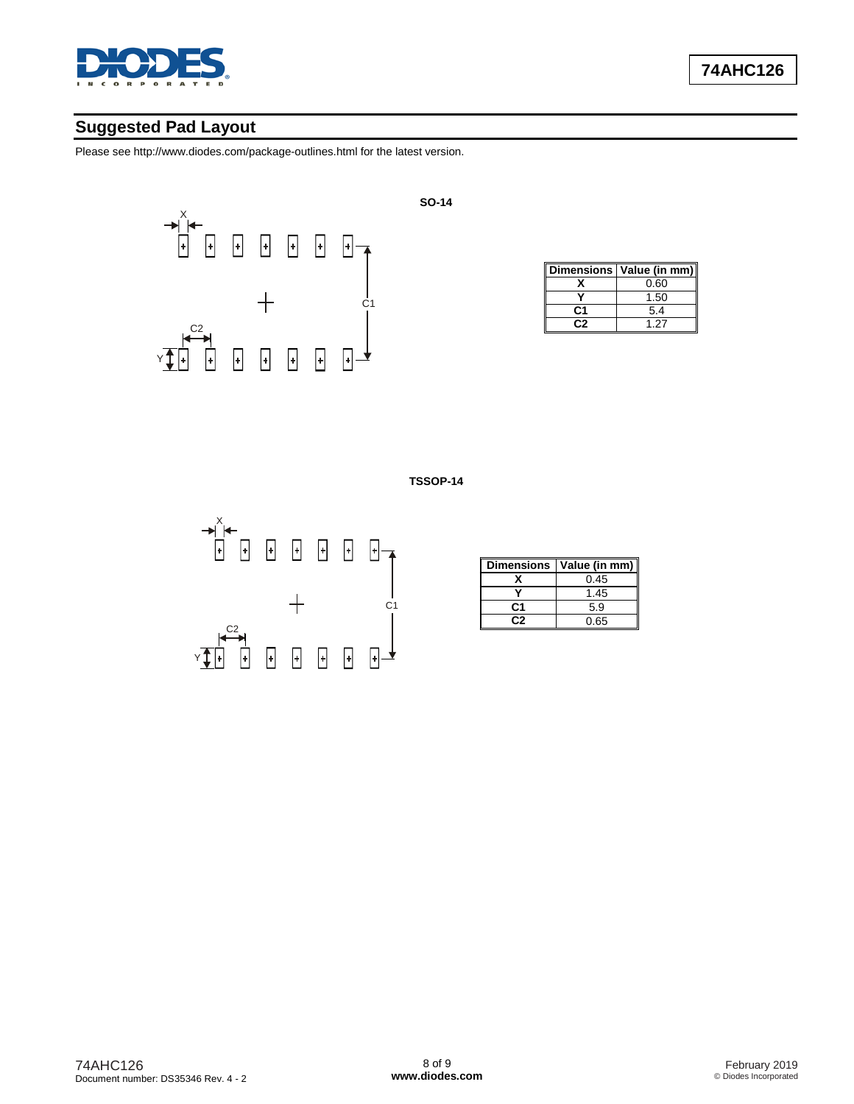

# **Suggested Pad Layout**

Please see [http://www.diodes.com/package-outlines.html fo](http://www.diodes.com/package-outlines.html)r the latest version.



**SO-14**

|    | Dimensions   Value (in mm) |
|----|----------------------------|
|    | 0.60                       |
|    | 1.50                       |
| C1 | 5.4                        |
|    | 1 27                       |

**TSSOP-14**



| <b>Dimensions</b> | Value (in mm) |
|-------------------|---------------|
|                   | 0.45          |
|                   | 1.45          |
| C1                | 5.9           |
|                   | 0.65          |